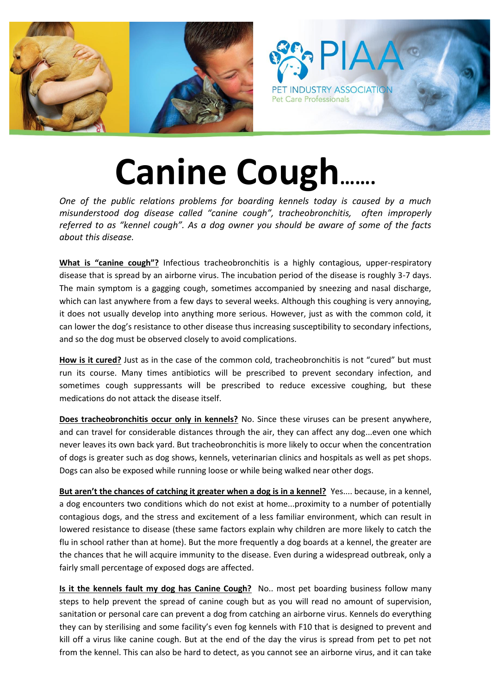

## **Canine Cough…….**

*One of the public relations problems for boarding kennels today is caused by a much misunderstood dog disease called "canine cough", tracheobronchitis, often improperly referred to as "kennel cough". As a dog owner you should be aware of some of the facts about this disease.*

**What is "canine cough"?** Infectious tracheobronchitis is a highly contagious, upper-respiratory disease that is spread by an airborne virus. The incubation period of the disease is roughly 3-7 days. The main symptom is a gagging cough, sometimes accompanied by sneezing and nasal discharge, which can last anywhere from a few days to several weeks. Although this coughing is very annoying, it does not usually develop into anything more serious. However, just as with the common cold, it can lower the dog's resistance to other disease thus increasing susceptibility to secondary infections, and so the dog must be observed closely to avoid complications.

**How is it cured?** Just as in the case of the common cold, tracheobronchitis is not "cured" but must run its course. Many times antibiotics will be prescribed to prevent secondary infection, and sometimes cough suppressants will be prescribed to reduce excessive coughing, but these medications do not attack the disease itself.

**Does tracheobronchitis occur only in kennels?** No. Since these viruses can be present anywhere, and can travel for considerable distances through the air, they can affect any dog...even one which never leaves its own back yard. But tracheobronchitis is more likely to occur when the concentration of dogs is greater such as dog shows, kennels, veterinarian clinics and hospitals as well as pet shops. Dogs can also be exposed while running loose or while being walked near other dogs.

**But aren't the chances of catching it greater when a dog is in a kennel?** Yes.... because, in a kennel, a dog encounters two conditions which do not exist at home...proximity to a number of potentially contagious dogs, and the stress and excitement of a less familiar environment, which can result in lowered resistance to disease (these same factors explain why children are more likely to catch the flu in school rather than at home). But the more frequently a dog boards at a kennel, the greater are the chances that he will acquire immunity to the disease. Even during a widespread outbreak, only a fairly small percentage of exposed dogs are affected.

**Is it the kennels fault my dog has Canine Cough?** No.. most pet boarding business follow many steps to help prevent the spread of canine cough but as you will read no amount of supervision, sanitation or personal care can prevent a dog from catching an airborne virus. Kennels do everything they can by sterilising and some facility's even fog kennels with F10 that is designed to prevent and kill off a virus like canine cough. But at the end of the day the virus is spread from pet to pet not from the kennel. This can also be hard to detect, as you cannot see an airborne virus, and it can take